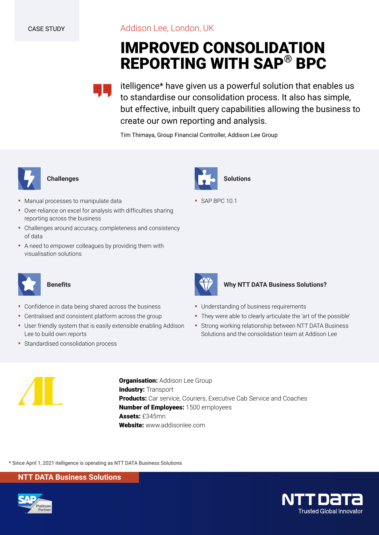Addison Lee, London, UK

# **IMPROVED CONSOLIDATION REPORTING WITH SAP® BPC**

itelligence\* have given us a powerful solution that enables us to standardise our consolidation process. It also has simple, but effective, inbuilt query capabilities allowing the business to create our own reporting and analysis.

Tim Thimaya, Group Financial Controller, Addison Lee Group



### **Challenges**

- **Manual processes to manipulate data**
- Over-reliance on excel for analysis with difficulties sharing reporting across the business
- Challenges around accuracy, completeness and consistency of data
- A need to empower colleagues by providing them with visualisation solutions



# **Benefits**

- Confidence in data being shared across the business
- Centralised and consistent platform across the group
- **User friendly system that is easily extensible enabling Addison** Lee to build own reports
- **·** Standardised consolidation process







## **Why NTT DATA Business Solutions?**

- **Understanding of business requirements**
- They were able to clearly articulate the 'art of the possible'
- Strong working relationship between NTT DATA Business Solutions and the consolidation team at Addison Lee



**Organisation: Addison Lee Group Industry: Transport Products:** Car service, Couriers, Executive Cab Service and Coaches **Number of Employees:** 1500 employees **Assets:** £345mn **Website:** www.addisonlee.com

\* Since April 1, 2021 itelligence is operating as NTT DATA Business Solutions

**NTT DATA Business Solutions**